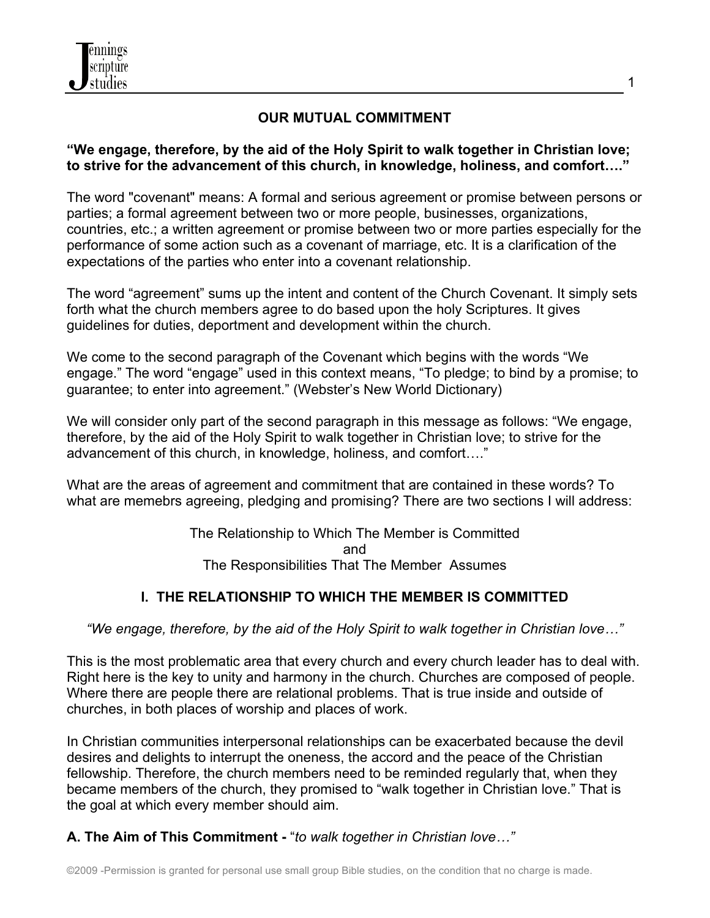

#### **OUR MUTUAL COMMITMENT**

#### **"We engage, therefore, by the aid of the Holy Spirit to walk together in Christian love; to strive for the advancement of this church, in knowledge, holiness, and comfort…."**

The word "covenant" means: A formal and serious agreement or promise between persons or parties; a formal agreement between two or more people, businesses, organizations, countries, etc.; a written agreement or promise between two or more parties especially for the performance of some action such as a covenant of marriage, etc. It is a clarification of the expectations of the parties who enter into a covenant relationship.

The word "agreement" sums up the intent and content of the Church Covenant. It simply sets forth what the church members agree to do based upon the holy Scriptures. It gives guidelines for duties, deportment and development within the church.

We come to the second paragraph of the Covenant which begins with the words "We engage." The word "engage" used in this context means, "To pledge; to bind by a promise; to guarantee; to enter into agreement." (Webster's New World Dictionary)

We will consider only part of the second paragraph in this message as follows: "We engage, therefore, by the aid of the Holy Spirit to walk together in Christian love; to strive for the advancement of this church, in knowledge, holiness, and comfort…."

What are the areas of agreement and commitment that are contained in these words? To what are memebrs agreeing, pledging and promising? There are two sections I will address:

> The Relationship to Which The Member is Committed and The Responsibilities That The Member Assumes

# **I. THE RELATIONSHIP TO WHICH THE MEMBER IS COMMITTED**

*"We engage, therefore, by the aid of the Holy Spirit to walk together in Christian love…"*

This is the most problematic area that every church and every church leader has to deal with. Right here is the key to unity and harmony in the church. Churches are composed of people. Where there are people there are relational problems. That is true inside and outside of churches, in both places of worship and places of work.

In Christian communities interpersonal relationships can be exacerbated because the devil desires and delights to interrupt the oneness, the accord and the peace of the Christian fellowship. Therefore, the church members need to be reminded regularly that, when they became members of the church, they promised to "walk together in Christian love." That is the goal at which every member should aim.

# **A. The Aim of This Commitment -** "*to walk together in Christian love…"*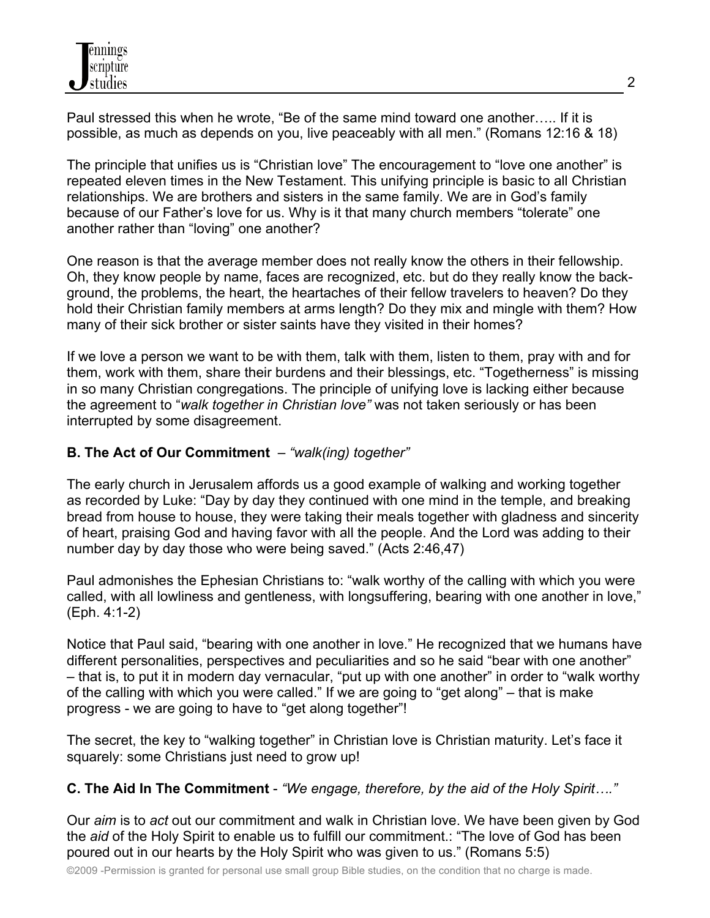Paul stressed this when he wrote, "Be of the same mind toward one another….. If it is possible, as much as depends on you, live peaceably with all men." (Romans 12:16 & 18)

The principle that unifies us is "Christian love" The encouragement to "love one another" is repeated eleven times in the New Testament. This unifying principle is basic to all Christian relationships. We are brothers and sisters in the same family. We are in God's family because of our Father's love for us. Why is it that many church members "tolerate" one another rather than "loving" one another?

One reason is that the average member does not really know the others in their fellowship. Oh, they know people by name, faces are recognized, etc. but do they really know the background, the problems, the heart, the heartaches of their fellow travelers to heaven? Do they hold their Christian family members at arms length? Do they mix and mingle with them? How many of their sick brother or sister saints have they visited in their homes?

If we love a person we want to be with them, talk with them, listen to them, pray with and for them, work with them, share their burdens and their blessings, etc. "Togetherness" is missing in so many Christian congregations. The principle of unifying love is lacking either because the agreement to "*walk together in Christian love"* was not taken seriously or has been interrupted by some disagreement.

### **B. The Act of Our Commitment** – *"walk(ing) together"*

The early church in Jerusalem affords us a good example of walking and working together as recorded by Luke: "Day by day they continued with one mind in the temple, and breaking bread from house to house, they were taking their meals together with gladness and sincerity of heart, praising God and having favor with all the people. And the Lord was adding to their number day by day those who were being saved." (Acts 2:46,47)

Paul admonishes the Ephesian Christians to: "walk worthy of the calling with which you were called, with all lowliness and gentleness, with longsuffering, bearing with one another in love," (Eph. 4:1-2)

Notice that Paul said, "bearing with one another in love." He recognized that we humans have different personalities, perspectives and peculiarities and so he said "bear with one another" – that is, to put it in modern day vernacular, "put up with one another" in order to "walk worthy of the calling with which you were called." If we are going to "get along" – that is make progress - we are going to have to "get along together"!

The secret, the key to "walking together" in Christian love is Christian maturity. Let's face it squarely: some Christians just need to grow up!

#### **C. The Aid In The Commitment** - *"We engage, therefore, by the aid of the Holy Spirit…."*

Our *aim* is to *act* out our commitment and walk in Christian love. We have been given by God the *aid* of the Holy Spirit to enable us to fulfill our commitment.: "The love of God has been poured out in our hearts by the Holy Spirit who was given to us." (Romans 5:5)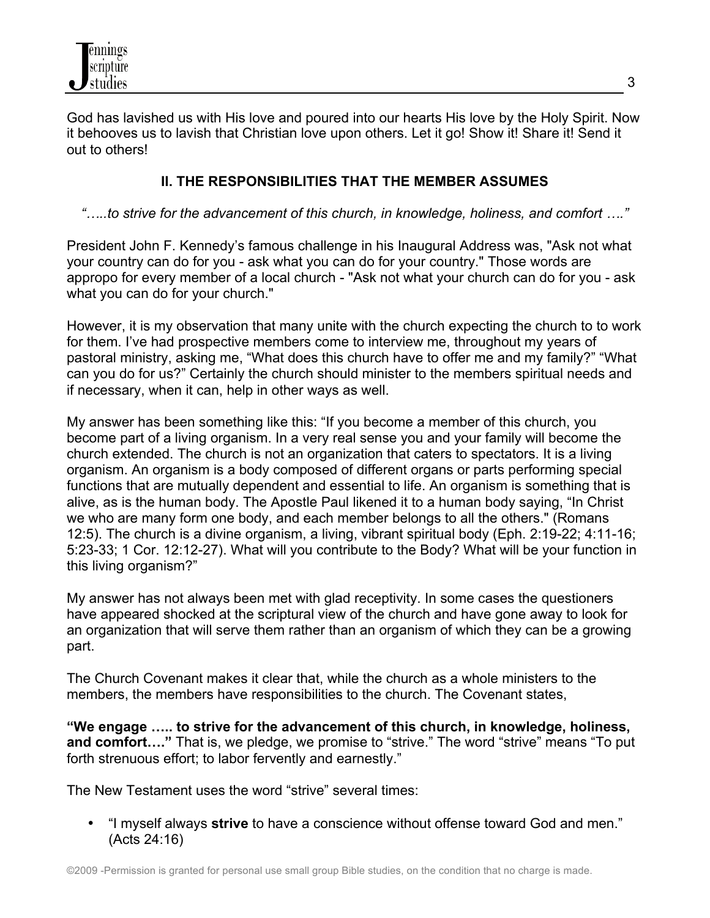God has lavished us with His love and poured into our hearts His love by the Holy Spirit. Now it behooves us to lavish that Christian love upon others. Let it go! Show it! Share it! Send it out to others!

### **II. THE RESPONSIBILITIES THAT THE MEMBER ASSUMES**

*"…..to strive for the advancement of this church, in knowledge, holiness, and comfort …."*

President John F. Kennedy's famous challenge in his Inaugural Address was, "Ask not what your country can do for you - ask what you can do for your country." Those words are appropo for every member of a local church - "Ask not what your church can do for you - ask what you can do for your church."

However, it is my observation that many unite with the church expecting the church to to work for them. I've had prospective members come to interview me, throughout my years of pastoral ministry, asking me, "What does this church have to offer me and my family?" "What can you do for us?" Certainly the church should minister to the members spiritual needs and if necessary, when it can, help in other ways as well.

My answer has been something like this: "If you become a member of this church, you become part of a living organism. In a very real sense you and your family will become the church extended. The church is not an organization that caters to spectators. It is a living organism. An organism is a body composed of different organs or parts performing special functions that are mutually dependent and essential to life. An organism is something that is alive, as is the human body. The Apostle Paul likened it to a human body saying, "In Christ we who are many form one body, and each member belongs to all the others." (Romans 12:5). The church is a divine organism, a living, vibrant spiritual body (Eph. 2:19-22; 4:11-16; 5:23-33; 1 Cor. 12:12-27). What will you contribute to the Body? What will be your function in this living organism?"

My answer has not always been met with glad receptivity. In some cases the questioners have appeared shocked at the scriptural view of the church and have gone away to look for an organization that will serve them rather than an organism of which they can be a growing part.

The Church Covenant makes it clear that, while the church as a whole ministers to the members, the members have responsibilities to the church. The Covenant states,

**"We engage ….. to strive for the advancement of this church, in knowledge, holiness, and comfort…."** That is, we pledge, we promise to "strive." The word "strive" means "To put forth strenuous effort; to labor fervently and earnestly."

The New Testament uses the word "strive" several times:

• "I myself always **strive** to have a conscience without offense toward God and men." (Acts 24:16)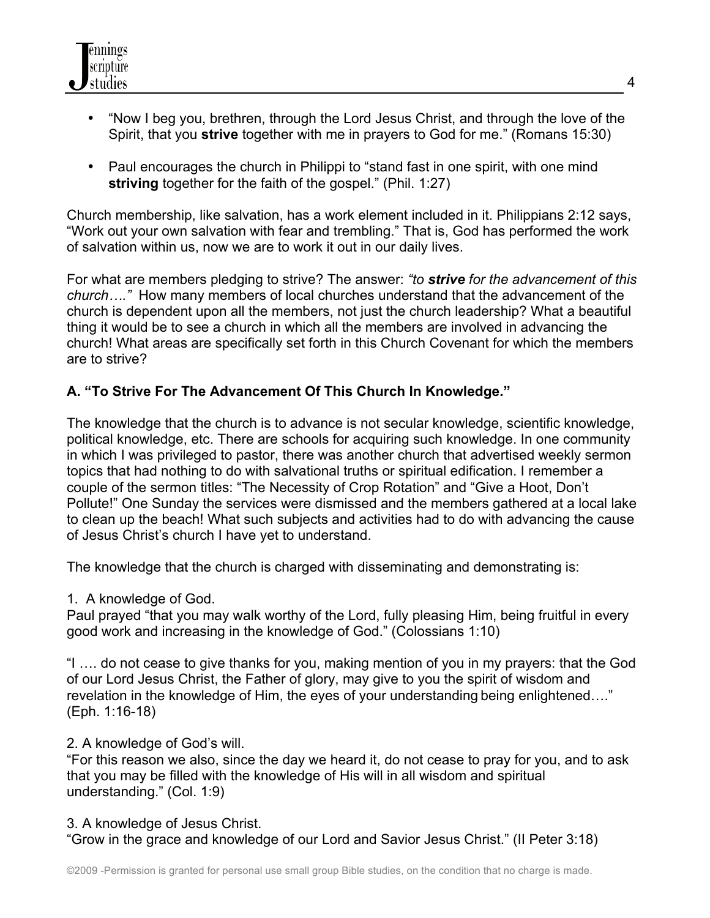

- "Now I beg you, brethren, through the Lord Jesus Christ, and through the love of the Spirit, that you **strive** together with me in prayers to God for me." (Romans 15:30)
- Paul encourages the church in Philippi to "stand fast in one spirit, with one mind **striving** together for the faith of the gospel." (Phil. 1:27)

Church membership, like salvation, has a work element included in it. Philippians 2:12 says, "Work out your own salvation with fear and trembling." That is, God has performed the work of salvation within us, now we are to work it out in our daily lives.

For what are members pledging to strive? The answer: *"to strive for the advancement of this church…."* How many members of local churches understand that the advancement of the church is dependent upon all the members, not just the church leadership? What a beautiful thing it would be to see a church in which all the members are involved in advancing the church! What areas are specifically set forth in this Church Covenant for which the members are to strive?

#### **A. "To Strive For The Advancement Of This Church In Knowledge."**

The knowledge that the church is to advance is not secular knowledge, scientific knowledge, political knowledge, etc. There are schools for acquiring such knowledge. In one community in which I was privileged to pastor, there was another church that advertised weekly sermon topics that had nothing to do with salvational truths or spiritual edification. I remember a couple of the sermon titles: "The Necessity of Crop Rotation" and "Give a Hoot, Don't Pollute!" One Sunday the services were dismissed and the members gathered at a local lake to clean up the beach! What such subjects and activities had to do with advancing the cause of Jesus Christ's church I have yet to understand.

The knowledge that the church is charged with disseminating and demonstrating is:

1. A knowledge of God.

Paul prayed "that you may walk worthy of the Lord, fully pleasing Him, being fruitful in every good work and increasing in the knowledge of God." (Colossians 1:10)

"I …. do not cease to give thanks for you, making mention of you in my prayers: that the God of our Lord Jesus Christ, the Father of glory, may give to you the spirit of wisdom and revelation in the knowledge of Him, the eyes of your understanding being enlightened…." (Eph. 1:16-18)

#### 2. A knowledge of God's will.

"For this reason we also, since the day we heard it, do not cease to pray for you, and to ask that you may be filled with the knowledge of His will in all wisdom and spiritual understanding." (Col. 1:9)

3. A knowledge of Jesus Christ.

"Grow in the grace and knowledge of our Lord and Savior Jesus Christ." (II Peter 3:18)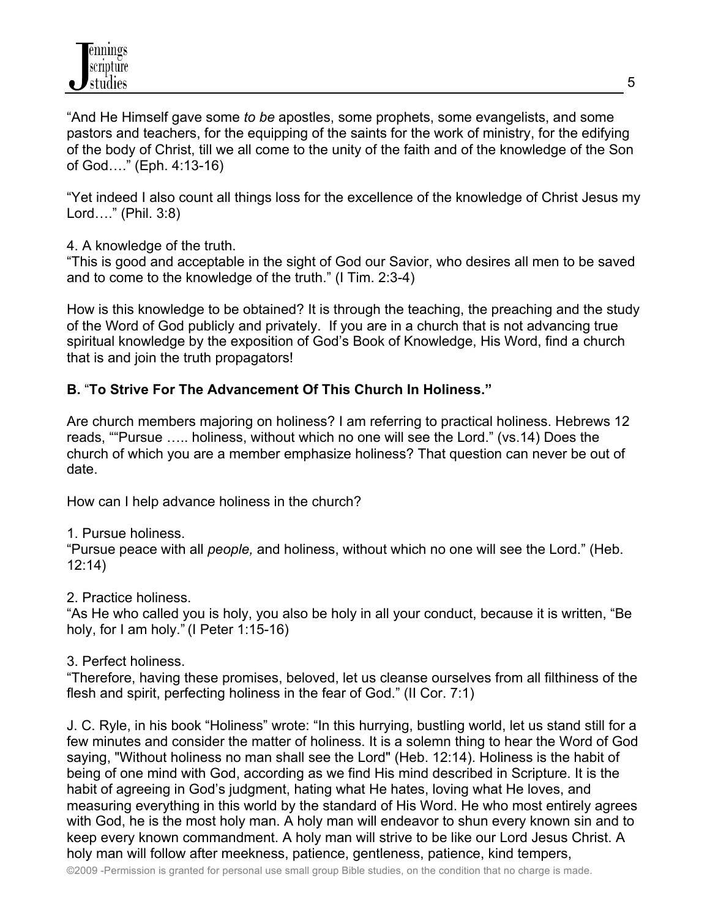"And He Himself gave some *to be* apostles, some prophets, some evangelists, and some pastors and teachers, for the equipping of the saints for the work of ministry, for the edifying of the body of Christ, till we all come to the unity of the faith and of the knowledge of the Son of God…." (Eph. 4:13-16)

"Yet indeed I also count all things loss for the excellence of the knowledge of Christ Jesus my Lord…." (Phil. 3:8)

4. A knowledge of the truth.

"This is good and acceptable in the sight of God our Savior, who desires all men to be saved and to come to the knowledge of the truth." (I Tim. 2:3-4)

How is this knowledge to be obtained? It is through the teaching, the preaching and the study of the Word of God publicly and privately. If you are in a church that is not advancing true spiritual knowledge by the exposition of God's Book of Knowledge, His Word, find a church that is and join the truth propagators!

### **B.** "**To Strive For The Advancement Of This Church In Holiness."**

Are church members majoring on holiness? I am referring to practical holiness. Hebrews 12 reads, ""Pursue ….. holiness, without which no one will see the Lord." (vs.14) Does the church of which you are a member emphasize holiness? That question can never be out of date.

How can I help advance holiness in the church?

1. Pursue holiness.

"Pursue peace with all *people,* and holiness, without which no one will see the Lord." (Heb. 12:14)

2. Practice holiness.

"As He who called you is holy, you also be holy in all your conduct, because it is written, "Be holy, for I am holy." (I Peter 1:15-16)

3. Perfect holiness.

"Therefore, having these promises, beloved, let us cleanse ourselves from all filthiness of the flesh and spirit, perfecting holiness in the fear of God." (II Cor. 7:1)

J. C. Ryle, in his book "Holiness" wrote: "In this hurrying, bustling world, let us stand still for a few minutes and consider the matter of holiness. It is a solemn thing to hear the Word of God saying, "Without holiness no man shall see the Lord" (Heb. 12:14). Holiness is the habit of being of one mind with God, according as we find His mind described in Scripture. It is the habit of agreeing in God's judgment, hating what He hates, loving what He loves, and measuring everything in this world by the standard of His Word. He who most entirely agrees with God, he is the most holy man. A holy man will endeavor to shun every known sin and to keep every known commandment. A holy man will strive to be like our Lord Jesus Christ. A holy man will follow after meekness, patience, gentleness, patience, kind tempers,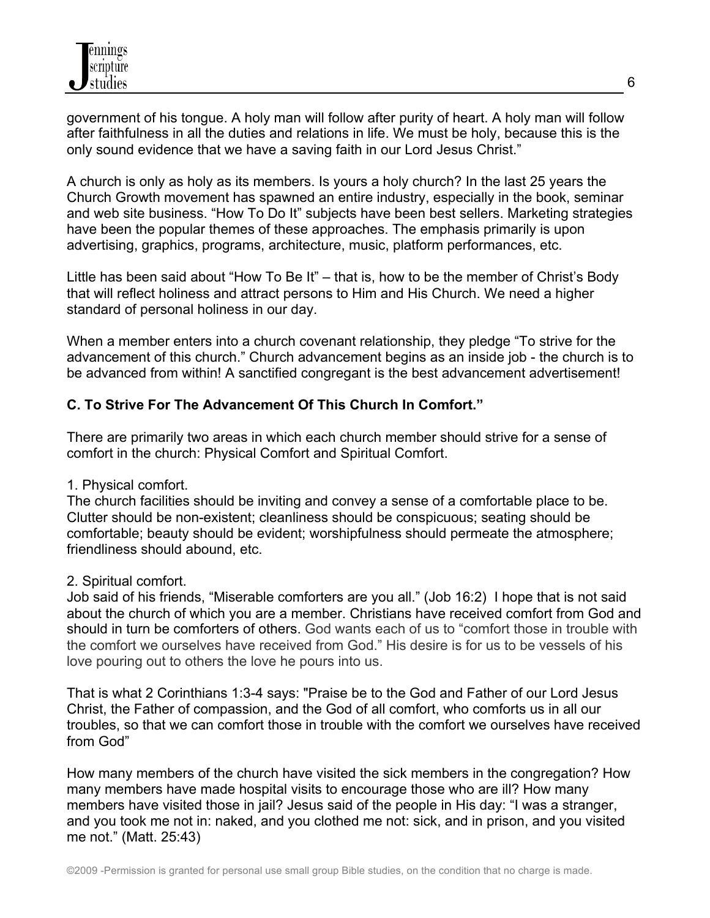government of his tongue. A holy man will follow after purity of heart. A holy man will follow after faithfulness in all the duties and relations in life. We must be holy, because this is the only sound evidence that we have a saving faith in our Lord Jesus Christ."

A church is only as holy as its members. Is yours a holy church? In the last 25 years the Church Growth movement has spawned an entire industry, especially in the book, seminar and web site business. "How To Do It" subjects have been best sellers. Marketing strategies have been the popular themes of these approaches. The emphasis primarily is upon advertising, graphics, programs, architecture, music, platform performances, etc.

Little has been said about "How To Be It" – that is, how to be the member of Christ's Body that will reflect holiness and attract persons to Him and His Church. We need a higher standard of personal holiness in our day.

When a member enters into a church covenant relationship, they pledge "To strive for the advancement of this church." Church advancement begins as an inside job - the church is to be advanced from within! A sanctified congregant is the best advancement advertisement!

# **C. To Strive For The Advancement Of This Church In Comfort."**

There are primarily two areas in which each church member should strive for a sense of comfort in the church: Physical Comfort and Spiritual Comfort.

1. Physical comfort.

The church facilities should be inviting and convey a sense of a comfortable place to be. Clutter should be non-existent; cleanliness should be conspicuous; seating should be comfortable; beauty should be evident; worshipfulness should permeate the atmosphere; friendliness should abound, etc.

2. Spiritual comfort.

Job said of his friends, "Miserable comforters are you all." (Job 16:2) I hope that is not said about the church of which you are a member. Christians have received comfort from God and should in turn be comforters of others. God wants each of us to "comfort those in trouble with the comfort we ourselves have received from God." His desire is for us to be vessels of his love pouring out to others the love he pours into us.

That is what 2 Corinthians 1:3-4 says: "Praise be to the God and Father of our Lord Jesus Christ, the Father of compassion, and the God of all comfort, who comforts us in all our troubles, so that we can comfort those in trouble with the comfort we ourselves have received from God"

How many members of the church have visited the sick members in the congregation? How many members have made hospital visits to encourage those who are ill? How many members have visited those in jail? Jesus said of the people in His day: "I was a stranger, and you took me not in: naked, and you clothed me not: sick, and in prison, and you visited me not." (Matt. 25:43)